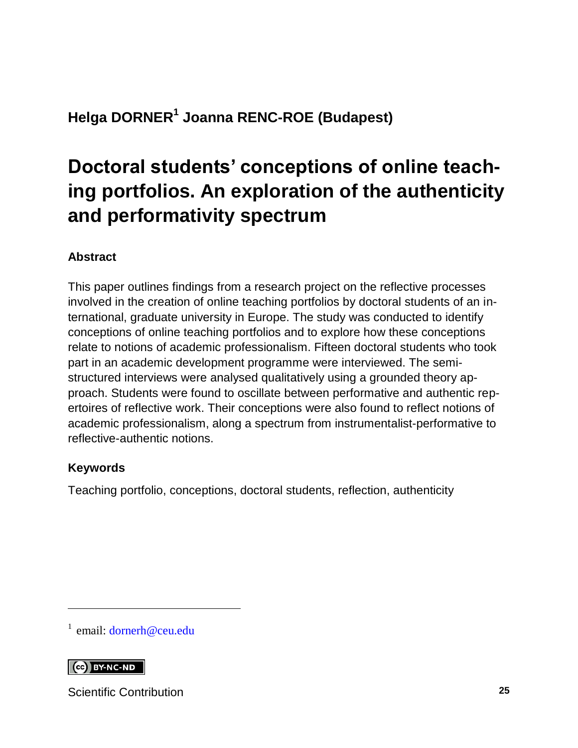### **Helga DORNER<sup>1</sup> Joanna RENC-ROE (Budapest)**

# **Doctoral students' conceptions of online teaching portfolios. An exploration of the authenticity and performativity spectrum**

#### **Abstract**

This paper outlines findings from a research project on the reflective processes involved in the creation of online teaching portfolios by doctoral students of an international, graduate university in Europe. The study was conducted to identify conceptions of online teaching portfolios and to explore how these conceptions relate to notions of academic professionalism. Fifteen doctoral students who took part in an academic development programme were interviewed. The semistructured interviews were analysed qualitatively using a grounded theory approach. Students were found to oscillate between performative and authentic repertoires of reflective work. Their conceptions were also found to reflect notions of academic professionalism, along a spectrum from instrumentalist-performative to reflective-authentic notions.

#### **Keywords**

Teaching portfolio, conceptions, doctoral students, reflection, authenticity

<sup>1</sup> email: [dornerh@ceu.edu](mailto:dornerh@ceu.edu)

#### $\left[\begin{array}{cc} \text{CC} \end{array}\right]$  BY-NC-ND

l

Scientific Contribution **25**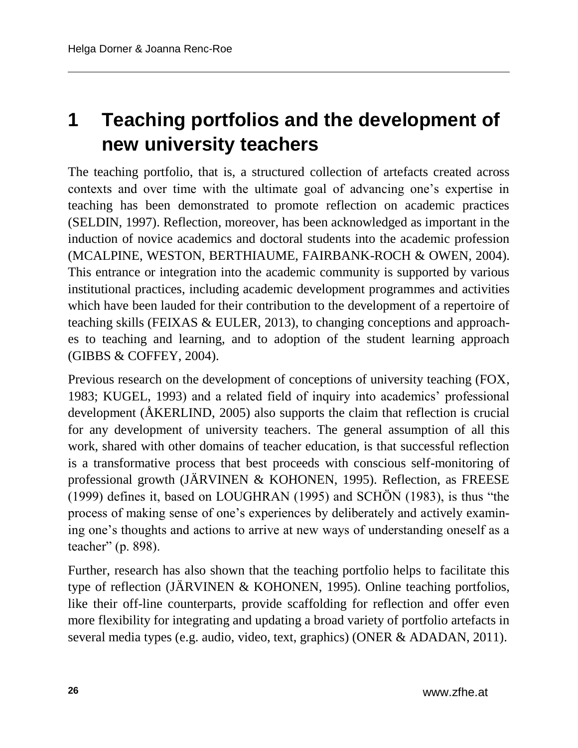# **1 Teaching portfolios and the development of new university teachers**

The teaching portfolio, that is, a structured collection of artefacts created across contexts and over time with the ultimate goal of advancing one's expertise in teaching has been demonstrated to promote reflection on academic practices (SELDIN, 1997). Reflection, moreover, has been acknowledged as important in the induction of novice academics and doctoral students into the academic profession (MCALPINE, WESTON, BERTHIAUME, FAIRBANK-ROCH & OWEN, 2004). This entrance or integration into the academic community is supported by various institutional practices, including academic development programmes and activities which have been lauded for their contribution to the development of a repertoire of teaching skills (FEIXAS & EULER, 2013), to changing conceptions and approaches to teaching and learning, and to adoption of the student learning approach (GIBBS & COFFEY, 2004).

Previous research on the development of conceptions of university teaching (FOX, 1983; KUGEL, 1993) and a related field of inquiry into academics' professional development (ÅKERLIND, 2005) also supports the claim that reflection is crucial for any development of university teachers. The general assumption of all this work, shared with other domains of teacher education, is that successful reflection is a transformative process that best proceeds with conscious self-monitoring of professional growth (JÄRVINEN & KOHONEN, 1995). Reflection, as FREESE (1999) defines it, based on LOUGHRAN (1995) and SCHÖN (1983), is thus "the process of making sense of one's experiences by deliberately and actively examining one's thoughts and actions to arrive at new ways of understanding oneself as a teacher" (p. 898).

Further, research has also shown that the teaching portfolio helps to facilitate this type of reflection (JÄRVINEN & KOHONEN, 1995). Online teaching portfolios, like their off-line counterparts, provide scaffolding for reflection and offer even more flexibility for integrating and updating a broad variety of portfolio artefacts in several media types (e.g. audio, video, text, graphics) (ONER & ADADAN, 2011).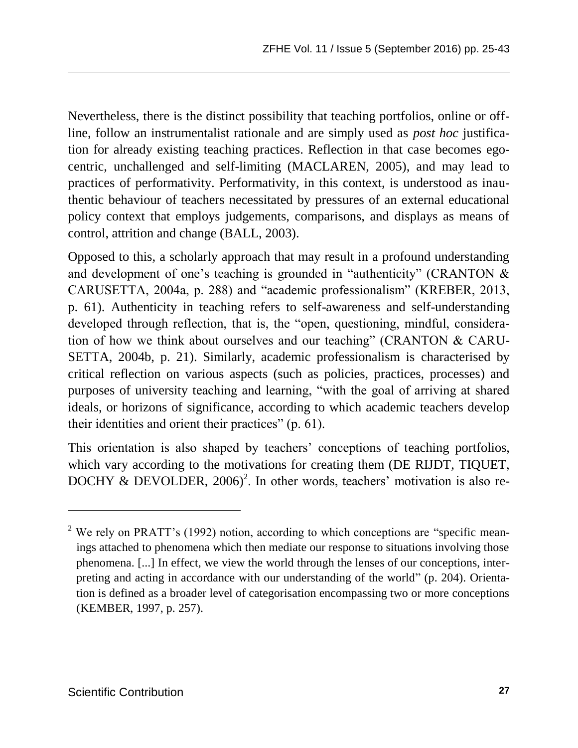Nevertheless, there is the distinct possibility that teaching portfolios, online or offline, follow an instrumentalist rationale and are simply used as *post hoc* justification for already existing teaching practices. Reflection in that case becomes egocentric, unchallenged and self-limiting (MACLAREN, 2005), and may lead to practices of performativity. Performativity, in this context, is understood as inauthentic behaviour of teachers necessitated by pressures of an external educational policy context that employs judgements, comparisons, and displays as means of control, attrition and change (BALL, 2003).

Opposed to this, a scholarly approach that may result in a profound understanding and development of one's teaching is grounded in "authenticity" (CRANTON & CARUSETTA, 2004a, p. 288) and "academic professionalism" (KREBER, 2013, p. 61). Authenticity in teaching refers to self-awareness and self-understanding developed through reflection, that is, the "open, questioning, mindful, consideration of how we think about ourselves and our teaching" (CRANTON & CARU-SETTA, 2004b, p. 21). Similarly, academic professionalism is characterised by critical reflection on various aspects (such as policies, practices, processes) and purposes of university teaching and learning, "with the goal of arriving at shared ideals, or horizons of significance, according to which academic teachers develop their identities and orient their practices" (p. 61).

This orientation is also shaped by teachers' conceptions of teaching portfolios, which vary according to the motivations for creating them (DE RIJDT, TIQUET, DOCHY & DEVOLDER,  $2006$ <sup>2</sup>. In other words, teachers' motivation is also re-

 $\overline{a}$ 

<sup>&</sup>lt;sup>2</sup> We rely on PRATT's (1992) notion, according to which conceptions are "specific meanings attached to phenomena which then mediate our response to situations involving those phenomena. [...] In effect, we view the world through the lenses of our conceptions, interpreting and acting in accordance with our understanding of the world" (p. 204). Orientation is defined as a broader level of categorisation encompassing two or more conceptions (KEMBER, 1997, p. 257).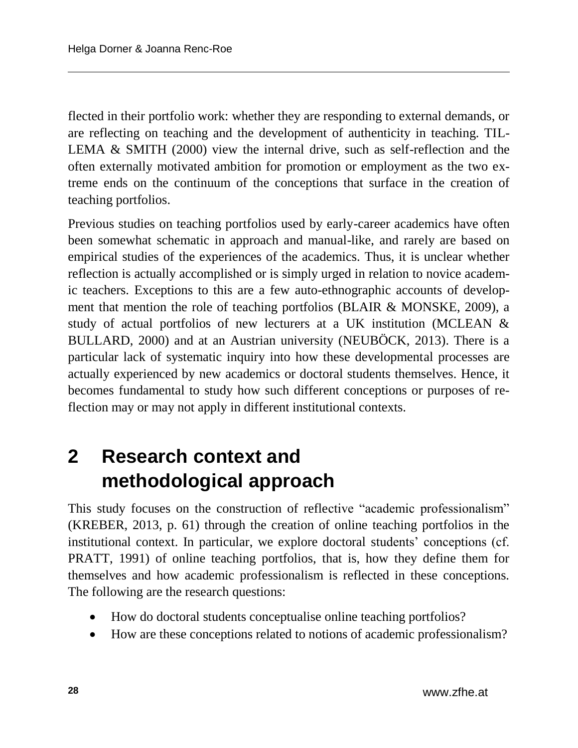flected in their portfolio work: whether they are responding to external demands, or are reflecting on teaching and the development of authenticity in teaching. TIL-LEMA  $&$  SMITH (2000) view the internal drive, such as self-reflection and the often externally motivated ambition for promotion or employment as the two extreme ends on the continuum of the conceptions that surface in the creation of teaching portfolios.

Previous studies on teaching portfolios used by early-career academics have often been somewhat schematic in approach and manual-like, and rarely are based on empirical studies of the experiences of the academics. Thus, it is unclear whether reflection is actually accomplished or is simply urged in relation to novice academic teachers. Exceptions to this are a few auto-ethnographic accounts of development that mention the role of teaching portfolios (BLAIR  $&$  MONSKE, 2009), a study of actual portfolios of new lecturers at a UK institution (MCLEAN & BULLARD, 2000) and at an Austrian university (NEUBÖCK, 2013). There is a particular lack of systematic inquiry into how these developmental processes are actually experienced by new academics or doctoral students themselves. Hence, it becomes fundamental to study how such different conceptions or purposes of reflection may or may not apply in different institutional contexts.

# **2 Research context and methodological approach**

This study focuses on the construction of reflective "academic professionalism" (KREBER, 2013, p. 61) through the creation of online teaching portfolios in the institutional context. In particular, we explore doctoral students' conceptions (cf. PRATT, 1991) of online teaching portfolios, that is, how they define them for themselves and how academic professionalism is reflected in these conceptions. The following are the research questions:

- How do doctoral students conceptualise online teaching portfolios?
- How are these conceptions related to notions of academic professionalism?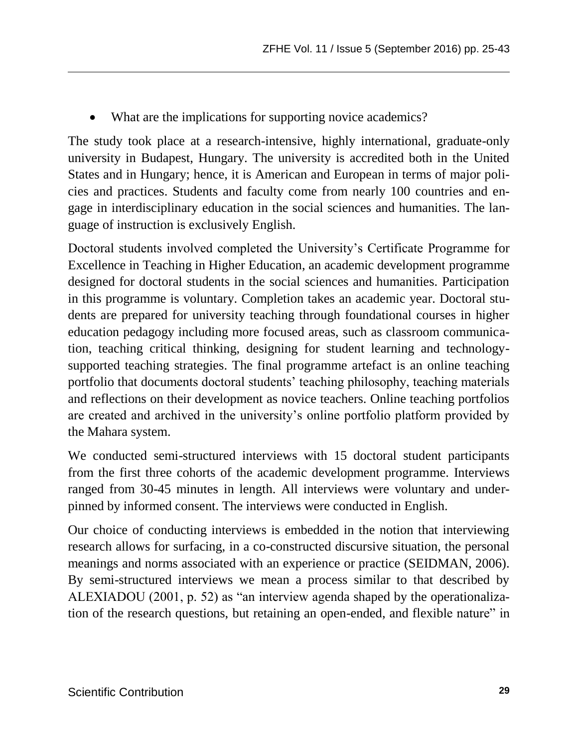What are the implications for supporting novice academics?

The study took place at a research-intensive, highly international, graduate-only university in Budapest, Hungary. The university is accredited both in the United States and in Hungary; hence, it is American and European in terms of major policies and practices. Students and faculty come from nearly 100 countries and engage in interdisciplinary education in the social sciences and humanities. The language of instruction is exclusively English.

Doctoral students involved completed the University's Certificate Programme for Excellence in Teaching in Higher Education, an academic development programme designed for doctoral students in the social sciences and humanities. Participation in this programme is voluntary. Completion takes an academic year. Doctoral students are prepared for university teaching through foundational courses in higher education pedagogy including more focused areas, such as classroom communication, teaching critical thinking, designing for student learning and technologysupported teaching strategies. The final programme artefact is an online teaching portfolio that documents doctoral students' teaching philosophy, teaching materials and reflections on their development as novice teachers. Online teaching portfolios are created and archived in the university's online portfolio platform provided by the Mahara system.

We conducted semi-structured interviews with 15 doctoral student participants from the first three cohorts of the academic development programme. Interviews ranged from 30-45 minutes in length. All interviews were voluntary and underpinned by informed consent. The interviews were conducted in English.

Our choice of conducting interviews is embedded in the notion that interviewing research allows for surfacing, in a co-constructed discursive situation, the personal meanings and norms associated with an experience or practice (SEIDMAN, 2006). By semi-structured interviews we mean a process similar to that described by ALEXIADOU (2001, p. 52) as "an interview agenda shaped by the operationalization of the research questions, but retaining an open-ended, and flexible nature" in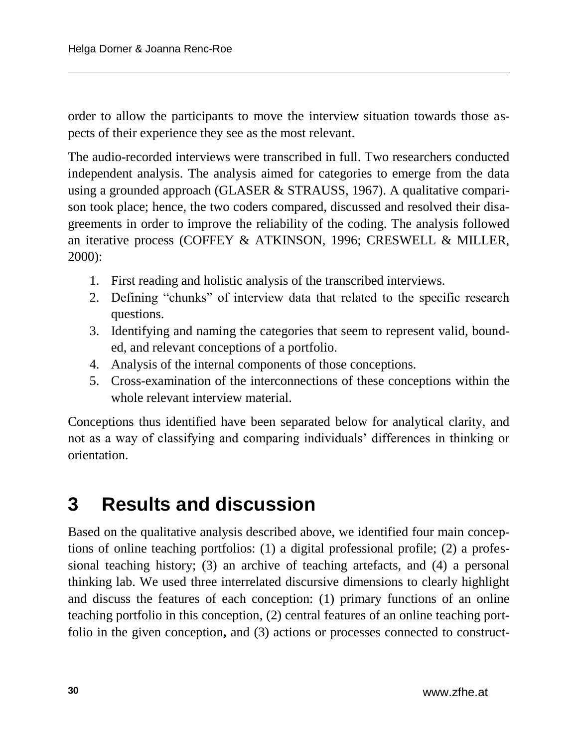order to allow the participants to move the interview situation towards those aspects of their experience they see as the most relevant.

The audio-recorded interviews were transcribed in full. Two researchers conducted independent analysis. The analysis aimed for categories to emerge from the data using a grounded approach (GLASER & STRAUSS, 1967). A qualitative comparison took place; hence, the two coders compared, discussed and resolved their disagreements in order to improve the reliability of the coding. The analysis followed an iterative process (COFFEY & ATKINSON, 1996; CRESWELL & MILLER, 2000):

- 1. First reading and holistic analysis of the transcribed interviews.
- 2. Defining "chunks" of interview data that related to the specific research questions.
- 3. Identifying and naming the categories that seem to represent valid, bounded, and relevant conceptions of a portfolio.
- 4. Analysis of the internal components of those conceptions.
- 5. Cross-examination of the interconnections of these conceptions within the whole relevant interview material.

Conceptions thus identified have been separated below for analytical clarity, and not as a way of classifying and comparing individuals' differences in thinking or orientation.

### **3 Results and discussion**

Based on the qualitative analysis described above, we identified four main conceptions of online teaching portfolios: (1) a digital professional profile; (2) a professional teaching history; (3) an archive of teaching artefacts, and (4) a personal thinking lab. We used three interrelated discursive dimensions to clearly highlight and discuss the features of each conception: (1) primary functions of an online teaching portfolio in this conception, (2) central features of an online teaching portfolio in the given conception**,** and (3) actions or processes connected to construct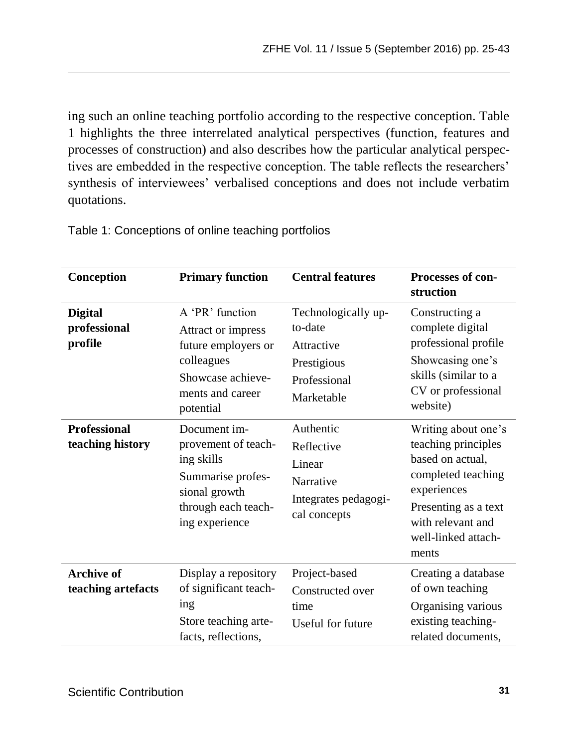ing such an online teaching portfolio according to the respective conception. Table 1 highlights the three interrelated analytical perspectives (function, features and processes of construction) and also describes how the particular analytical perspectives are embedded in the respective conception. The table reflects the researchers' synthesis of interviewees' verbalised conceptions and does not include verbatim quotations.

| Conception                                | <b>Primary function</b>                                                                                                          | <b>Central features</b>                                                                   | <b>Processes of con-</b><br>struction                                                                                                                                            |
|-------------------------------------------|----------------------------------------------------------------------------------------------------------------------------------|-------------------------------------------------------------------------------------------|----------------------------------------------------------------------------------------------------------------------------------------------------------------------------------|
| <b>Digital</b><br>professional<br>profile | A 'PR' function<br>Attract or impress<br>future employers or<br>colleagues<br>Showcase achieve-<br>ments and career<br>potential | Technologically up-<br>to-date<br>Attractive<br>Prestigious<br>Professional<br>Marketable | Constructing a<br>complete digital<br>professional profile<br>Showcasing one's<br>skills (similar to a<br>CV or professional<br>website)                                         |
| <b>Professional</b><br>teaching history   | Document im-<br>provement of teach-<br>ing skills<br>Summarise profes-<br>sional growth<br>through each teach-<br>ing experience | Authentic<br>Reflective<br>Linear<br>Narrative<br>Integrates pedagogi-<br>cal concepts    | Writing about one's<br>teaching principles<br>based on actual,<br>completed teaching<br>experiences<br>Presenting as a text<br>with relevant and<br>well-linked attach-<br>ments |
| Archive of<br>teaching artefacts          | Display a repository<br>of significant teach-<br>ing<br>Store teaching arte-<br>facts, reflections,                              | Project-based<br>Constructed over<br>time<br>Useful for future                            | Creating a database<br>of own teaching<br>Organising various<br>existing teaching-<br>related documents,                                                                         |

Table 1: Conceptions of online teaching portfolios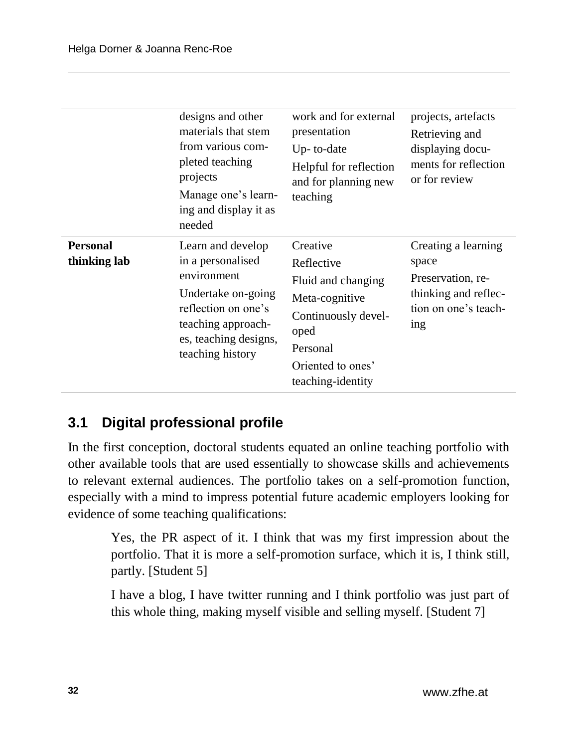|                                 | designs and other<br>materials that stem<br>from various com-<br>pleted teaching<br>projects<br>Manage one's learn-<br>ing and display it as<br>needed                | work and for external<br>presentation<br>Up-to-date<br>Helpful for reflection<br>and for planning new<br>teaching                                   | projects, artefacts<br>Retrieving and<br>displaying docu-<br>ments for reflection<br>or for review       |
|---------------------------------|-----------------------------------------------------------------------------------------------------------------------------------------------------------------------|-----------------------------------------------------------------------------------------------------------------------------------------------------|----------------------------------------------------------------------------------------------------------|
| <b>Personal</b><br>thinking lab | Learn and develop<br>in a personalised<br>environment<br>Undertake on-going<br>reflection on one's<br>teaching approach-<br>es, teaching designs,<br>teaching history | Creative<br>Reflective<br>Fluid and changing<br>Meta-cognitive<br>Continuously devel-<br>oped<br>Personal<br>Oriented to ones'<br>teaching-identity | Creating a learning<br>space<br>Preservation, re-<br>thinking and reflec-<br>tion on one's teach-<br>ing |

#### **3.1 Digital professional profile**

In the first conception, doctoral students equated an online teaching portfolio with other available tools that are used essentially to showcase skills and achievements to relevant external audiences. The portfolio takes on a self-promotion function, especially with a mind to impress potential future academic employers looking for evidence of some teaching qualifications:

Yes, the PR aspect of it. I think that was my first impression about the portfolio. That it is more a self-promotion surface, which it is, I think still, partly. [Student 5]

I have a blog, I have twitter running and I think portfolio was just part of this whole thing, making myself visible and selling myself. [Student 7]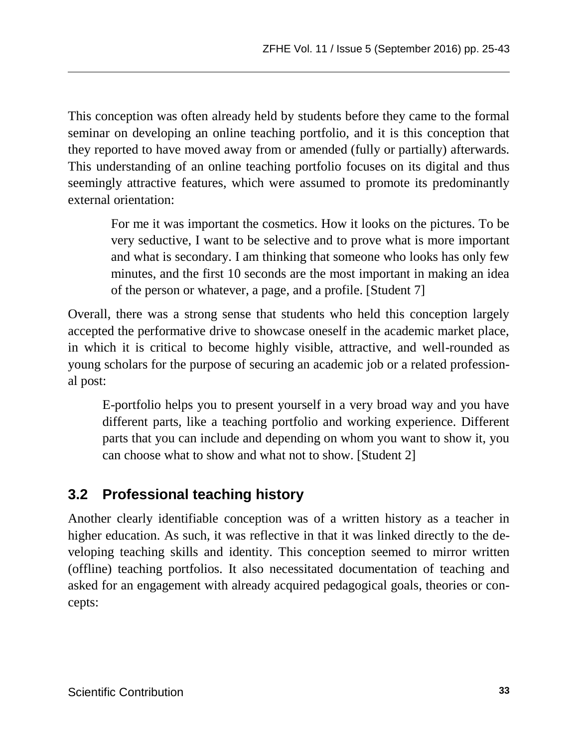This conception was often already held by students before they came to the formal seminar on developing an online teaching portfolio, and it is this conception that they reported to have moved away from or amended (fully or partially) afterwards. This understanding of an online teaching portfolio focuses on its digital and thus seemingly attractive features, which were assumed to promote its predominantly external orientation:

For me it was important the cosmetics. How it looks on the pictures. To be very seductive, I want to be selective and to prove what is more important and what is secondary. I am thinking that someone who looks has only few minutes, and the first 10 seconds are the most important in making an idea of the person or whatever, a page, and a profile. [Student 7]

Overall, there was a strong sense that students who held this conception largely accepted the performative drive to showcase oneself in the academic market place, in which it is critical to become highly visible, attractive, and well-rounded as young scholars for the purpose of securing an academic job or a related professional post:

E-portfolio helps you to present yourself in a very broad way and you have different parts, like a teaching portfolio and working experience. Different parts that you can include and depending on whom you want to show it, you can choose what to show and what not to show. [Student 2]

### **3.2 Professional teaching history**

Another clearly identifiable conception was of a written history as a teacher in higher education. As such, it was reflective in that it was linked directly to the developing teaching skills and identity. This conception seemed to mirror written (offline) teaching portfolios. It also necessitated documentation of teaching and asked for an engagement with already acquired pedagogical goals, theories or concepts: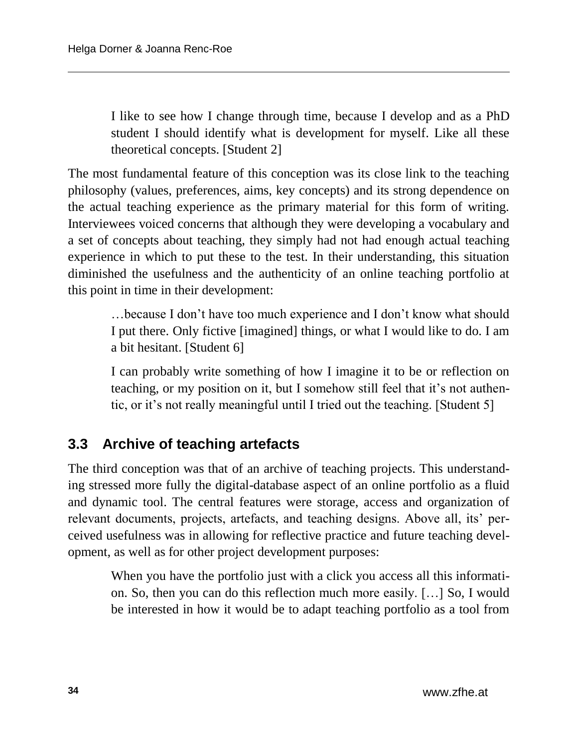I like to see how I change through time, because I develop and as a PhD student I should identify what is development for myself. Like all these theoretical concepts. [Student 2]

The most fundamental feature of this conception was its close link to the teaching philosophy (values, preferences, aims, key concepts) and its strong dependence on the actual teaching experience as the primary material for this form of writing. Interviewees voiced concerns that although they were developing a vocabulary and a set of concepts about teaching, they simply had not had enough actual teaching experience in which to put these to the test. In their understanding, this situation diminished the usefulness and the authenticity of an online teaching portfolio at this point in time in their development:

…because I don't have too much experience and I don't know what should I put there. Only fictive [imagined] things, or what I would like to do. I am a bit hesitant. [Student 6]

I can probably write something of how I imagine it to be or reflection on teaching, or my position on it, but I somehow still feel that it's not authentic, or it's not really meaningful until I tried out the teaching. [Student 5]

### **3.3 Archive of teaching artefacts**

The third conception was that of an archive of teaching projects. This understanding stressed more fully the digital-database aspect of an online portfolio as a fluid and dynamic tool. The central features were storage, access and organization of relevant documents, projects, artefacts, and teaching designs. Above all, its' perceived usefulness was in allowing for reflective practice and future teaching development, as well as for other project development purposes:

When you have the portfolio just with a click you access all this information. So, then you can do this reflection much more easily. […] So, I would be interested in how it would be to adapt teaching portfolio as a tool from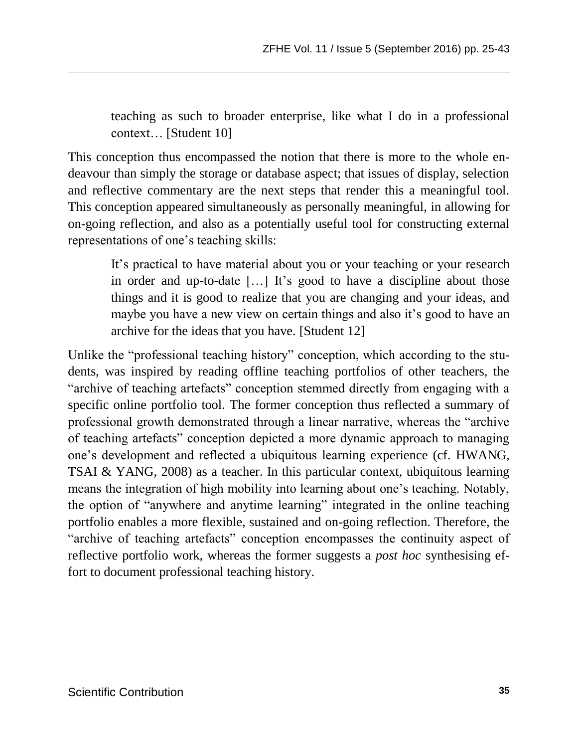teaching as such to broader enterprise, like what I do in a professional context… [Student 10]

This conception thus encompassed the notion that there is more to the whole endeavour than simply the storage or database aspect; that issues of display, selection and reflective commentary are the next steps that render this a meaningful tool. This conception appeared simultaneously as personally meaningful, in allowing for on-going reflection, and also as a potentially useful tool for constructing external representations of one's teaching skills:

It's practical to have material about you or your teaching or your research in order and up-to-date […] It's good to have a discipline about those things and it is good to realize that you are changing and your ideas, and maybe you have a new view on certain things and also it's good to have an archive for the ideas that you have. [Student 12]

Unlike the "professional teaching history" conception, which according to the students, was inspired by reading offline teaching portfolios of other teachers, the "archive of teaching artefacts" conception stemmed directly from engaging with a specific online portfolio tool. The former conception thus reflected a summary of professional growth demonstrated through a linear narrative, whereas the "archive of teaching artefacts" conception depicted a more dynamic approach to managing one's development and reflected a ubiquitous learning experience (cf. HWANG, TSAI & YANG, 2008) as a teacher. In this particular context, ubiquitous learning means the integration of high mobility into learning about one's teaching. Notably, the option of "anywhere and anytime learning" integrated in the online teaching portfolio enables a more flexible, sustained and on-going reflection. Therefore, the "archive of teaching artefacts" conception encompasses the continuity aspect of reflective portfolio work, whereas the former suggests a *post hoc* synthesising effort to document professional teaching history.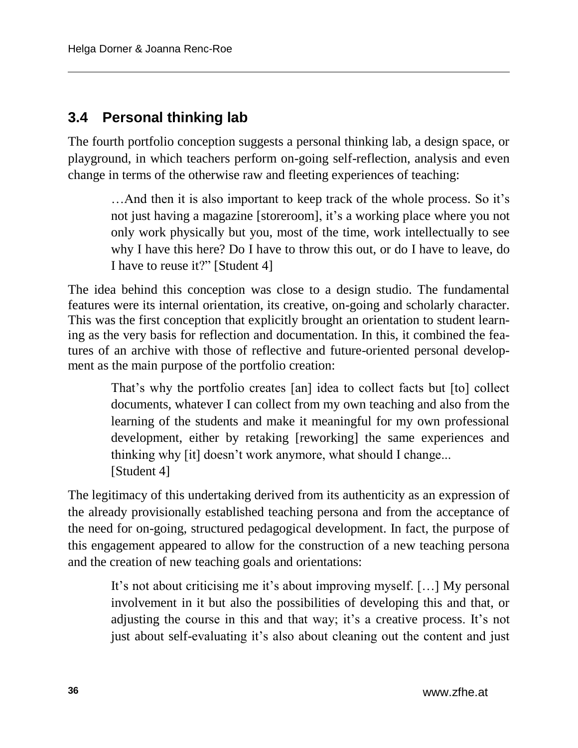#### **3.4 Personal thinking lab**

The fourth portfolio conception suggests a personal thinking lab, a design space, or playground, in which teachers perform on-going self-reflection, analysis and even change in terms of the otherwise raw and fleeting experiences of teaching:

…And then it is also important to keep track of the whole process. So it's not just having a magazine [storeroom], it's a working place where you not only work physically but you, most of the time, work intellectually to see why I have this here? Do I have to throw this out, or do I have to leave, do I have to reuse it?" [Student 4]

The idea behind this conception was close to a design studio. The fundamental features were its internal orientation, its creative, on-going and scholarly character. This was the first conception that explicitly brought an orientation to student learning as the very basis for reflection and documentation. In this, it combined the features of an archive with those of reflective and future-oriented personal development as the main purpose of the portfolio creation:

That's why the portfolio creates [an] idea to collect facts but [to] collect documents, whatever I can collect from my own teaching and also from the learning of the students and make it meaningful for my own professional development, either by retaking [reworking] the same experiences and thinking why [it] doesn't work anymore, what should I change... [Student 4]

The legitimacy of this undertaking derived from its authenticity as an expression of the already provisionally established teaching persona and from the acceptance of the need for on-going, structured pedagogical development. In fact, the purpose of this engagement appeared to allow for the construction of a new teaching persona and the creation of new teaching goals and orientations:

It's not about criticising me it's about improving myself. […] My personal involvement in it but also the possibilities of developing this and that, or adjusting the course in this and that way; it's a creative process. It's not just about self-evaluating it's also about cleaning out the content and just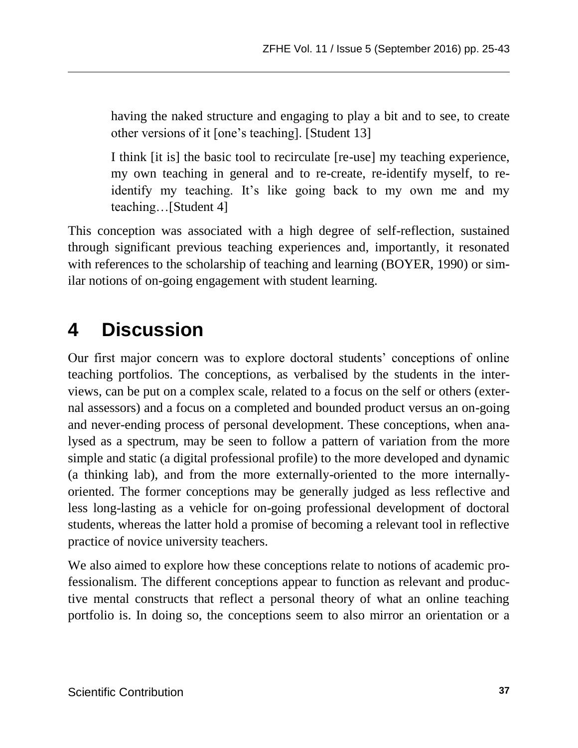having the naked structure and engaging to play a bit and to see, to create other versions of it [one's teaching]. [Student 13]

I think [it is] the basic tool to recirculate [re-use] my teaching experience, my own teaching in general and to re-create, re-identify myself, to reidentify my teaching. It's like going back to my own me and my teaching…[Student 4]

This conception was associated with a high degree of self-reflection, sustained through significant previous teaching experiences and, importantly, it resonated with references to the scholarship of teaching and learning (BOYER, 1990) or similar notions of on-going engagement with student learning.

## **4 Discussion**

Our first major concern was to explore doctoral students' conceptions of online teaching portfolios. The conceptions, as verbalised by the students in the interviews, can be put on a complex scale, related to a focus on the self or others (external assessors) and a focus on a completed and bounded product versus an on-going and never-ending process of personal development. These conceptions, when analysed as a spectrum, may be seen to follow a pattern of variation from the more simple and static (a digital professional profile) to the more developed and dynamic (a thinking lab), and from the more externally-oriented to the more internallyoriented. The former conceptions may be generally judged as less reflective and less long-lasting as a vehicle for on-going professional development of doctoral students, whereas the latter hold a promise of becoming a relevant tool in reflective practice of novice university teachers.

We also aimed to explore how these conceptions relate to notions of academic professionalism. The different conceptions appear to function as relevant and productive mental constructs that reflect a personal theory of what an online teaching portfolio is. In doing so, the conceptions seem to also mirror an orientation or a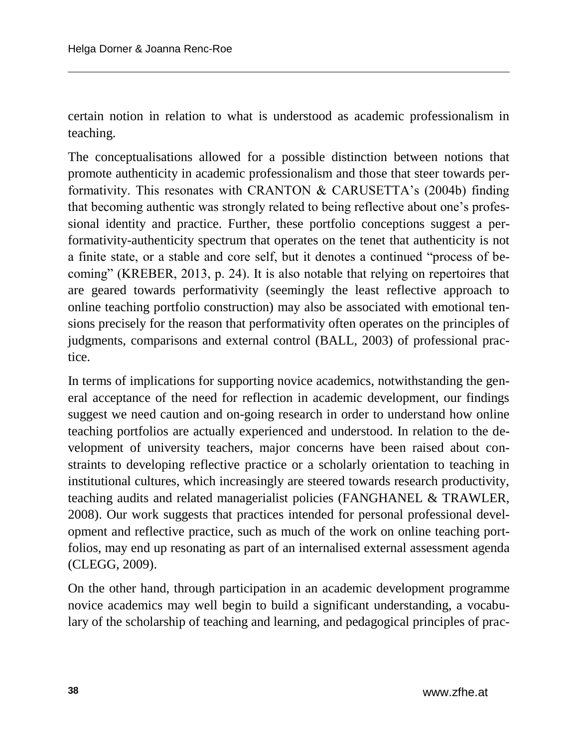certain notion in relation to what is understood as academic professionalism in teaching.

The conceptualisations allowed for a possible distinction between notions that promote authenticity in academic professionalism and those that steer towards performativity. This resonates with CRANTON & CARUSETTA's (2004b) finding that becoming authentic was strongly related to being reflective about one's professional identity and practice. Further, these portfolio conceptions suggest a performativity-authenticity spectrum that operates on the tenet that authenticity is not a finite state, or a stable and core self, but it denotes a continued "process of becoming" (KREBER, 2013, p. 24). It is also notable that relying on repertoires that are geared towards performativity (seemingly the least reflective approach to online teaching portfolio construction) may also be associated with emotional tensions precisely for the reason that performativity often operates on the principles of judgments, comparisons and external control (BALL, 2003) of professional practice.

In terms of implications for supporting novice academics, notwithstanding the general acceptance of the need for reflection in academic development, our findings suggest we need caution and on-going research in order to understand how online teaching portfolios are actually experienced and understood. In relation to the development of university teachers, major concerns have been raised about constraints to developing reflective practice or a scholarly orientation to teaching in institutional cultures, which increasingly are steered towards research productivity, teaching audits and related managerialist policies (FANGHANEL & TRAWLER, 2008). Our work suggests that practices intended for personal professional development and reflective practice, such as much of the work on online teaching portfolios, may end up resonating as part of an internalised external assessment agenda (CLEGG, 2009).

On the other hand, through participation in an academic development programme novice academics may well begin to build a significant understanding, a vocabulary of the scholarship of teaching and learning, and pedagogical principles of prac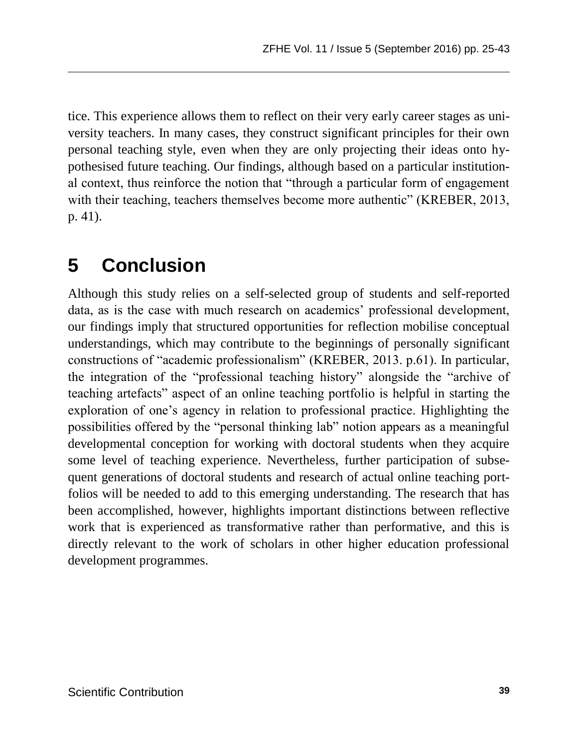tice. This experience allows them to reflect on their very early career stages as university teachers. In many cases, they construct significant principles for their own personal teaching style, even when they are only projecting their ideas onto hypothesised future teaching. Our findings, although based on a particular institutional context, thus reinforce the notion that "through a particular form of engagement with their teaching, teachers themselves become more authentic" (KREBER, 2013, p. 41).

## **5 Conclusion**

Although this study relies on a self-selected group of students and self-reported data, as is the case with much research on academics' professional development, our findings imply that structured opportunities for reflection mobilise conceptual understandings, which may contribute to the beginnings of personally significant constructions of "academic professionalism" (KREBER, 2013. p.61). In particular, the integration of the "professional teaching history" alongside the "archive of teaching artefacts" aspect of an online teaching portfolio is helpful in starting the exploration of one's agency in relation to professional practice. Highlighting the possibilities offered by the "personal thinking lab" notion appears as a meaningful developmental conception for working with doctoral students when they acquire some level of teaching experience. Nevertheless, further participation of subsequent generations of doctoral students and research of actual online teaching portfolios will be needed to add to this emerging understanding. The research that has been accomplished, however, highlights important distinctions between reflective work that is experienced as transformative rather than performative, and this is directly relevant to the work of scholars in other higher education professional development programmes.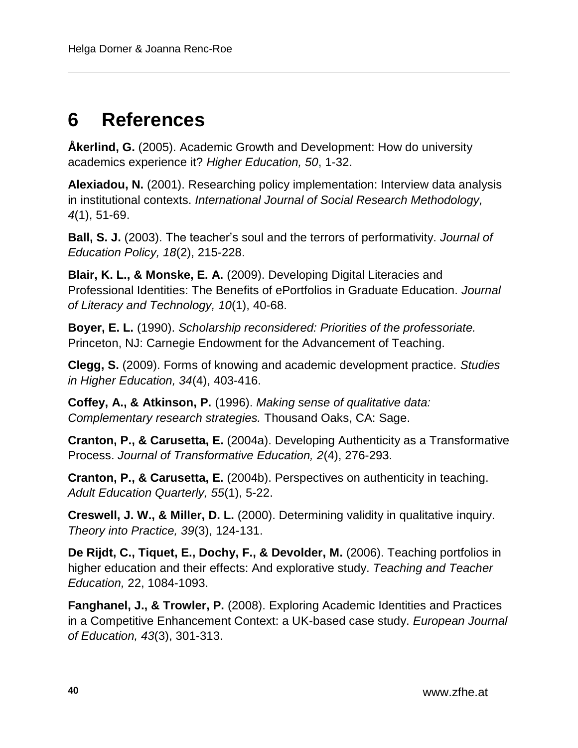## **6 References**

**Åkerlind, G.** (2005). Academic Growth and Development: How do university academics experience it? *Higher Education, 50*, 1-32.

**Alexiadou, N.** (2001). Researching policy implementation: Interview data analysis in institutional contexts. *International Journal of Social Research Methodology, 4*(1), 51-69.

**Ball, S. J.** (2003). The teacher's soul and the terrors of performativity. *Journal of Education Policy, 18*(2), 215-228.

**Blair, K. L., & Monske, E. A.** (2009). Developing Digital Literacies and Professional Identities: The Benefits of ePortfolios in Graduate Education. *Journal of Literacy and Technology, 10*(1), 40-68.

**Boyer, E. L.** (1990). *Scholarship reconsidered: Priorities of the professoriate.* Princeton, NJ: Carnegie Endowment for the Advancement of Teaching.

**Clegg, S.** (2009). Forms of knowing and academic development practice. *Studies in Higher Education, 34*(4), 403-416.

**Coffey, A., & Atkinson, P.** (1996). *Making sense of qualitative data: Complementary research strategies.* Thousand Oaks, CA: Sage.

**Cranton, P., & Carusetta, E.** (2004a). Developing Authenticity as a Transformative Process. *Journal of Transformative Education, 2*(4), 276-293.

**Cranton, P., & Carusetta, E.** (2004b). Perspectives on authenticity in teaching. *Adult Education Quarterly, 55*(1), 5-22.

**Creswell, J. W., & Miller, D. L.** (2000). Determining validity in qualitative inquiry. *Theory into Practice, 39*(3), 124-131.

**De Rijdt, C., Tiquet, E., Dochy, F., & Devolder, M.** (2006). Teaching portfolios in higher education and their effects: And explorative study. *Teaching and Teacher Education,* 22, 1084-1093.

**Fanghanel, J., & Trowler, P.** (2008). Exploring Academic Identities and Practices in a Competitive Enhancement Context: a UK-based case study. *European Journal of Education, 43*(3), 301-313.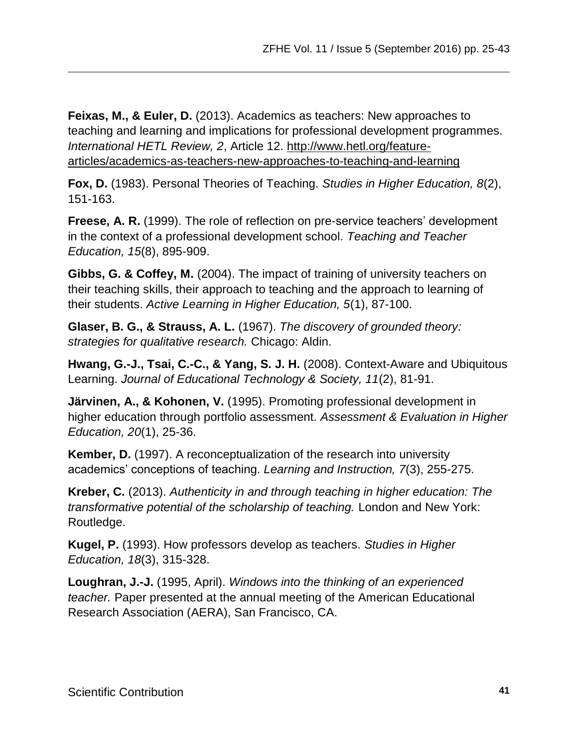**Feixas, M., & Euler, D.** (2013). Academics as teachers: New approaches to teaching and learning and implications for professional development programmes. *International HETL Review, 2*, Article 12. [http://www.hetl.org/feature](http://www.hetl.org/feature-articles/academics-as-teachers-new-approaches-to-teaching-and-learning)[articles/academics-as-teachers-new-approaches-to-teaching-and-learning](http://www.hetl.org/feature-articles/academics-as-teachers-new-approaches-to-teaching-and-learning)

**Fox, D.** (1983). Personal Theories of Teaching. *Studies in Higher Education, 8*(2), 151-163.

**Freese, A. R.** (1999). The role of reflection on pre-service teachers' development in the context of a professional development school. *Teaching and Teacher Education, 15*(8), 895-909.

**Gibbs, G. & Coffey, M.** (2004). The impact of training of university teachers on their teaching skills, their approach to teaching and the approach to learning of their students. *Active Learning in Higher Education, 5*(1), 87-100.

**Glaser, B. G., & Strauss, A. L.** (1967). *The discovery of grounded theory: strategies for qualitative research.* Chicago: Aldin.

**Hwang, G.-J., Tsai, C.-C., & Yang, S. J. H.** (2008). Context-Aware and Ubiquitous Learning. *Journal of Educational Technology & Society, 11*(2), 81-91.

**Järvinen, A., & Kohonen, V.** (1995). Promoting professional development in higher education through portfolio assessment. *Assessment & Evaluation in Higher Education, 20*(1), 25-36.

**Kember, D.** (1997). A reconceptualization of the research into university academics' conceptions of teaching. *Learning and Instruction, 7*(3), 255-275.

**Kreber, C.** (2013). *Authenticity in and through teaching in higher education: The transformative potential of the scholarship of teaching.* London and New York: Routledge.

**Kugel, P.** (1993). How professors develop as teachers. *Studies in Higher Education, 18*(3), 315-328.

**Loughran, J.-J.** (1995, April). *Windows into the thinking of an experienced teacher.* Paper presented at the annual meeting of the American Educational Research Association (AERA), San Francisco, CA.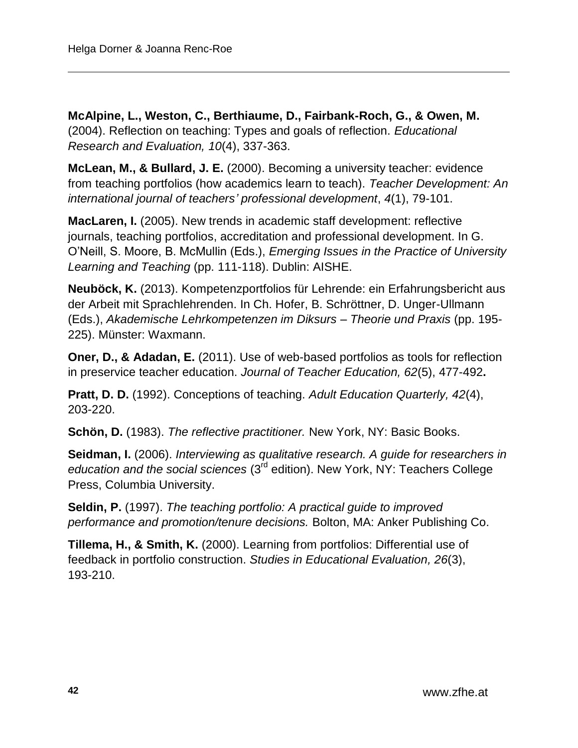**McAlpine, L., Weston, C., Berthiaume, D., Fairbank-Roch, G., & Owen, M.** (2004). Reflection on teaching: Types and goals of reflection. *Educational Research and Evaluation, 10*(4), 337-363.

**McLean, M., & Bullard, J. E.** (2000). Becoming a university teacher: evidence from teaching portfolios (how academics learn to teach). *Teacher Development: An international journal of teachers' professional development*, *4*(1), 79-101.

**MacLaren, I.** (2005). New trends in academic staff development: reflective journals, teaching portfolios, accreditation and professional development. In G. O'Neill, S. Moore, B. McMullin (Eds.), *Emerging Issues in the Practice of University Learning and Teaching* (pp. 111-118). Dublin: AISHE.

**Neuböck, K.** (2013). Kompetenzportfolios für Lehrende: ein Erfahrungsbericht aus der Arbeit mit Sprachlehrenden. In Ch. Hofer, B. Schröttner, D. Unger-Ullmann (Eds.), *Akademische Lehrkompetenzen im Diksurs – Theorie und Praxis* (pp. 195- 225). Münster: Waxmann.

**Oner, D., & Adadan, E.** (2011). Use of web-based portfolios as tools for reflection in preservice teacher education. *Journal of Teacher Education, 62*(5), 477-492**.**

**Pratt, D. D.** (1992). Conceptions of teaching. *Adult Education Quarterly, 42*(4), 203-220.

**Schön, D.** (1983). *The reflective practitioner.* New York, NY: Basic Books.

**Seidman, I.** (2006). *Interviewing as qualitative research. A guide for researchers in*  education and the social sciences (3<sup>rd</sup> edition). New York, NY: Teachers College Press, Columbia University.

**Seldin, P.** (1997). *The teaching portfolio: A practical guide to improved performance and promotion/tenure decisions.* Bolton, MA: Anker Publishing Co.

**Tillema, H., & Smith, K.** (2000). Learning from portfolios: Differential use of feedback in portfolio construction. *Studies in Educational Evaluation, 26*(3), 193-210.